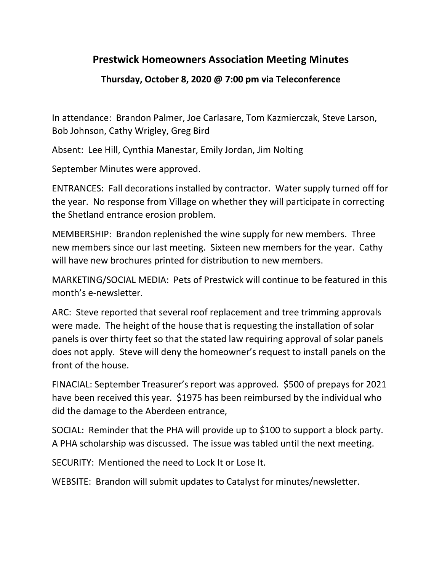## **Prestwick Homeowners Association Meeting Minutes**

## **Thursday, October 8, 2020 @ 7:00 pm via Teleconference**

In attendance: Brandon Palmer, Joe Carlasare, Tom Kazmierczak, Steve Larson, Bob Johnson, Cathy Wrigley, Greg Bird

Absent: Lee Hill, Cynthia Manestar, Emily Jordan, Jim Nolting

September Minutes were approved.

ENTRANCES: Fall decorations installed by contractor. Water supply turned off for the year. No response from Village on whether they will participate in correcting the Shetland entrance erosion problem.

MEMBERSHIP: Brandon replenished the wine supply for new members. Three new members since our last meeting. Sixteen new members for the year. Cathy will have new brochures printed for distribution to new members.

MARKETING/SOCIAL MEDIA: Pets of Prestwick will continue to be featured in this month's e-newsletter.

ARC: Steve reported that several roof replacement and tree trimming approvals were made. The height of the house that is requesting the installation of solar panels is over thirty feet so that the stated law requiring approval of solar panels does not apply. Steve will deny the homeowner's request to install panels on the front of the house.

FINACIAL: September Treasurer's report was approved. \$500 of prepays for 2021 have been received this year. \$1975 has been reimbursed by the individual who did the damage to the Aberdeen entrance,

SOCIAL: Reminder that the PHA will provide up to \$100 to support a block party. A PHA scholarship was discussed. The issue was tabled until the next meeting.

SECURITY: Mentioned the need to Lock It or Lose It.

WEBSITE: Brandon will submit updates to Catalyst for minutes/newsletter.